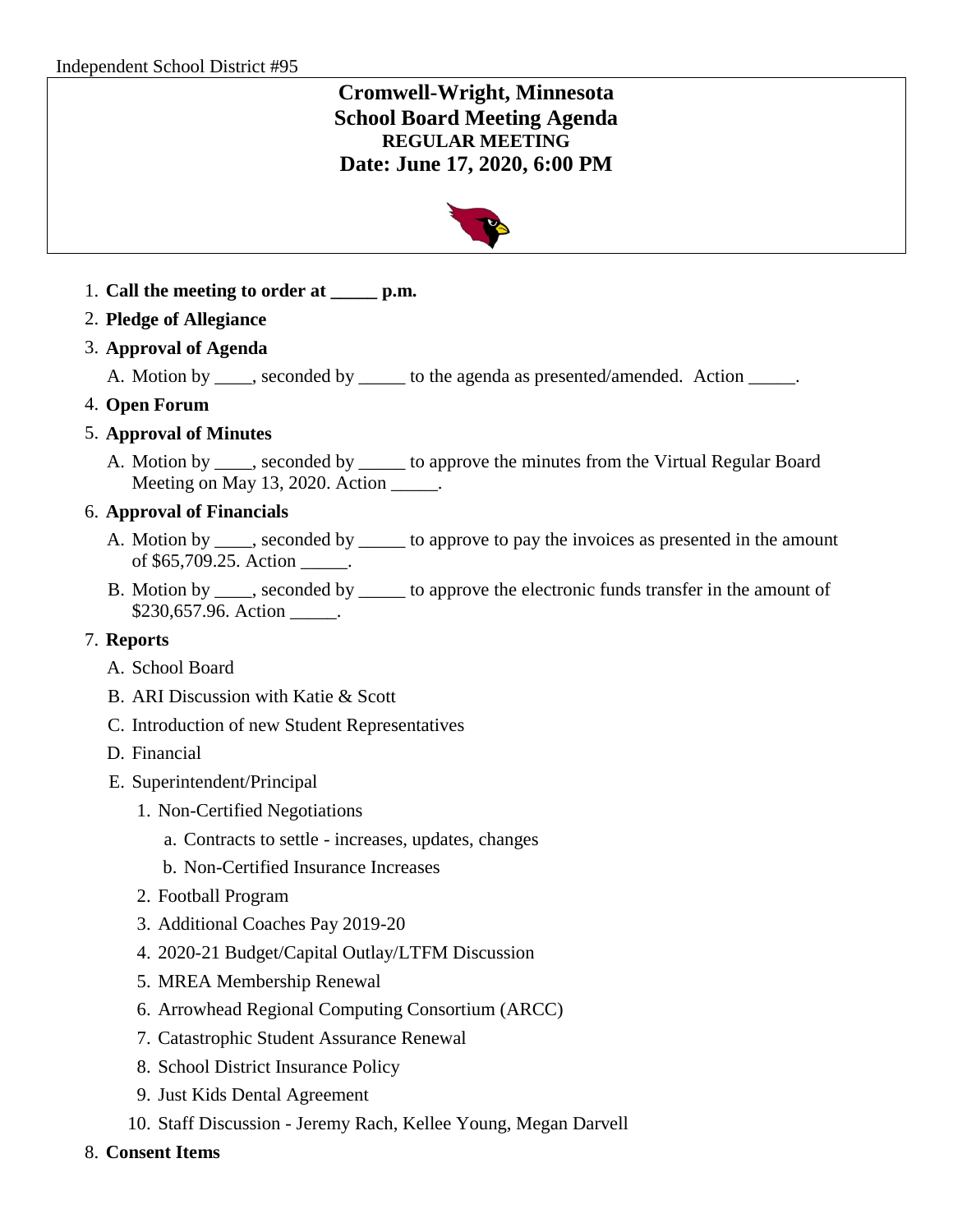# **Cromwell-Wright, Minnesota School Board Meeting Agenda REGULAR MEETING Date: June 17, 2020, 6:00 PM**



- 1. **Call the meeting to order at \_\_\_\_\_ p.m.**
- 2. **Pledge of Allegiance**
- 3. **Approval of Agenda**

A. Motion by \_\_\_\_, seconded by \_\_\_\_\_ to the agenda as presented/amended. Action \_\_\_\_\_.

4. **Open Forum**

## 5. **Approval of Minutes**

A. Motion by \_\_\_\_, seconded by \_\_\_\_\_ to approve the minutes from the Virtual Regular Board Meeting on May 13, 2020. Action \_\_\_\_\_.

## 6. **Approval of Financials**

- A. Motion by seconded by to approve to pay the invoices as presented in the amount of \$65,709.25. Action .
- B. Motion by \_\_\_\_, seconded by \_\_\_\_\_ to approve the electronic funds transfer in the amount of \$230,657.96. Action .

### 7. **Reports**

- A. School Board
- B. ARI Discussion with Katie & Scott
- C. Introduction of new Student Representatives
- D. Financial
- E. Superintendent/Principal
	- 1. Non-Certified Negotiations
		- a. Contracts to settle increases, updates, changes
		- b. Non-Certified Insurance Increases
	- 2. Football Program
	- 3. Additional Coaches Pay 2019-20
	- 4. 2020-21 Budget/Capital Outlay/LTFM Discussion
	- 5. MREA Membership Renewal
	- 6. Arrowhead Regional Computing Consortium (ARCC)
	- 7. Catastrophic Student Assurance Renewal
	- 8. School District Insurance Policy
	- 9. Just Kids Dental Agreement
	- 10. Staff Discussion Jeremy Rach, Kellee Young, Megan Darvell
- 8. **Consent Items**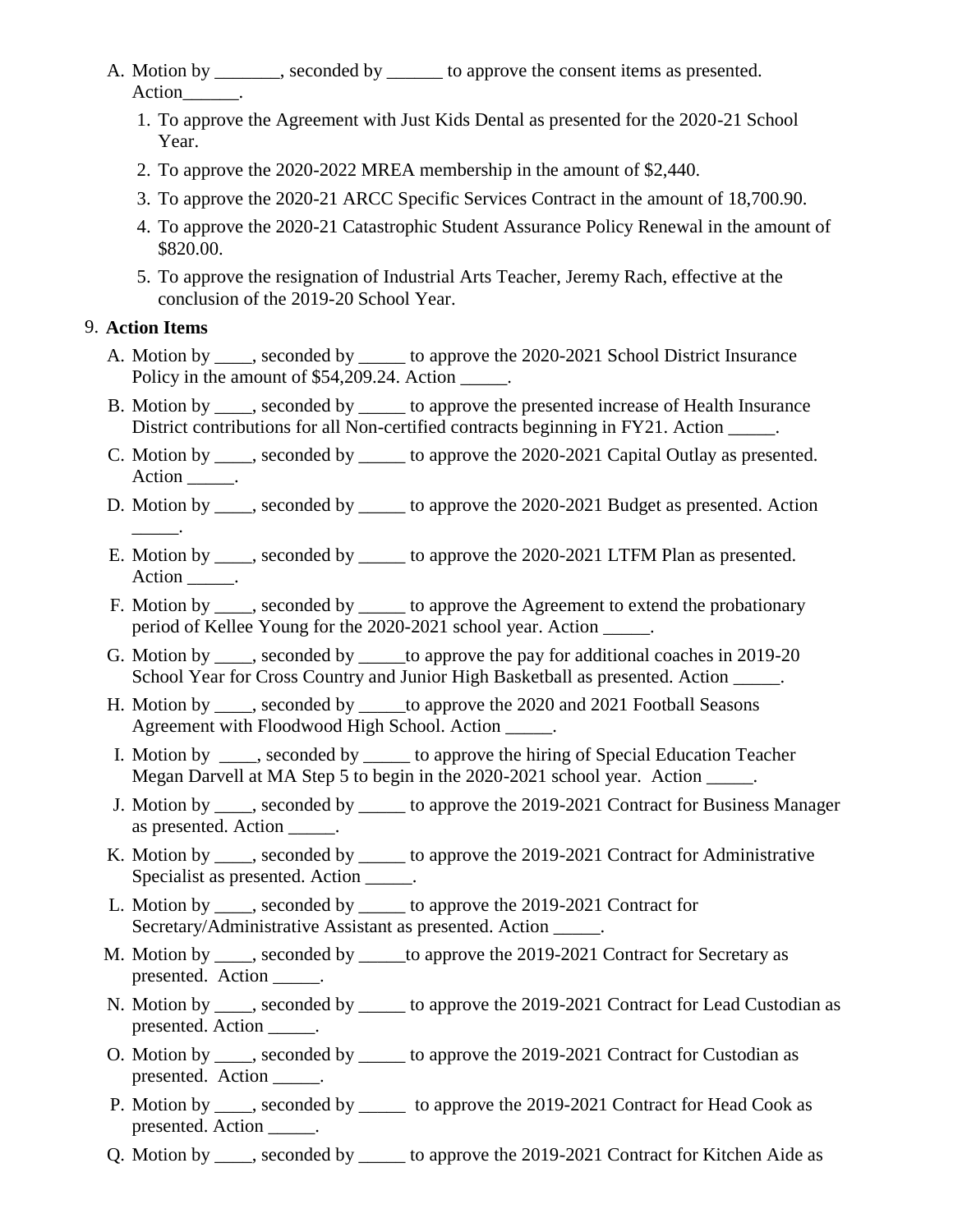- A. Motion by seconded by second by to approve the consent items as presented. Action .
	- 1. To approve the Agreement with Just Kids Dental as presented for the 2020-21 School Year.
	- 2. To approve the 2020-2022 MREA membership in the amount of \$2,440.
	- 3. To approve the 2020-21 ARCC Specific Services Contract in the amount of 18,700.90.
	- 4. To approve the 2020-21 Catastrophic Student Assurance Policy Renewal in the amount of \$820.00.
	- 5. To approve the resignation of Industrial Arts Teacher, Jeremy Rach, effective at the conclusion of the 2019-20 School Year.

## 9. **Action Items**

\_\_\_\_\_.

- A. Motion by \_\_\_\_, seconded by \_\_\_\_\_ to approve the 2020-2021 School District Insurance Policy in the amount of \$54,209.24. Action  $\qquad \qquad$ .
- B. Motion by \_\_\_\_, seconded by \_\_\_\_\_ to approve the presented increase of Health Insurance District contributions for all Non-certified contracts beginning in FY21. Action \_\_\_\_\_.
- C. Motion by \_\_\_\_, seconded by \_\_\_\_\_ to approve the 2020-2021 Capital Outlay as presented. Action \_\_\_\_\_\_.
- D. Motion by \_\_\_\_, seconded by \_\_\_\_\_ to approve the 2020-2021 Budget as presented. Action
- E. Motion by \_\_\_\_, seconded by \_\_\_\_\_ to approve the 2020-2021 LTFM Plan as presented. Action \_\_\_\_\_\_.
- F. Motion by \_\_\_\_, seconded by \_\_\_\_\_ to approve the Agreement to extend the probationary period of Kellee Young for the 2020-2021 school year. Action \_\_\_\_\_.
- G. Motion by seconded by to approve the pay for additional coaches in 2019-20 School Year for Cross Country and Junior High Basketball as presented. Action  $\qquad \qquad$ .
- H. Motion by \_\_\_\_, seconded by \_\_\_\_\_to approve the 2020 and 2021 Football Seasons Agreement with Floodwood High School. Action \_\_\_\_\_.
- I. Motion by \_\_\_\_, seconded by \_\_\_\_\_ to approve the hiring of Special Education Teacher Megan Darvell at MA Step 5 to begin in the 2020-2021 school year. Action \_\_\_\_\_.
- J. Motion by \_\_\_\_, seconded by \_\_\_\_\_ to approve the 2019-2021 Contract for Business Manager as presented. Action \_\_\_\_\_.
- K. Motion by \_\_\_\_, seconded by \_\_\_\_\_ to approve the 2019-2021 Contract for Administrative Specialist as presented. Action \_\_\_\_\_\_.
- L. Motion by \_\_\_\_, seconded by \_\_\_\_\_ to approve the 2019-2021 Contract for Secretary/Administrative Assistant as presented. Action \_\_\_\_\_.
- M. Motion by \_\_\_\_, seconded by \_\_\_\_\_to approve the 2019-2021 Contract for Secretary as presented. Action \_\_\_\_\_\_\_.
- N. Motion by seconded by second by to approve the 2019-2021 Contract for Lead Custodian as presented. Action \_\_\_\_\_.
- O. Motion by \_\_\_\_, seconded by \_\_\_\_\_ to approve the 2019-2021 Contract for Custodian as presented. Action \_\_\_\_\_\_.
- P. Motion by \_\_\_\_, seconded by \_\_\_\_\_ to approve the 2019-2021 Contract for Head Cook as presented. Action \_\_\_\_\_\_.
- Q. Motion by \_\_\_\_, seconded by \_\_\_\_\_ to approve the 2019-2021 Contract for Kitchen Aide as